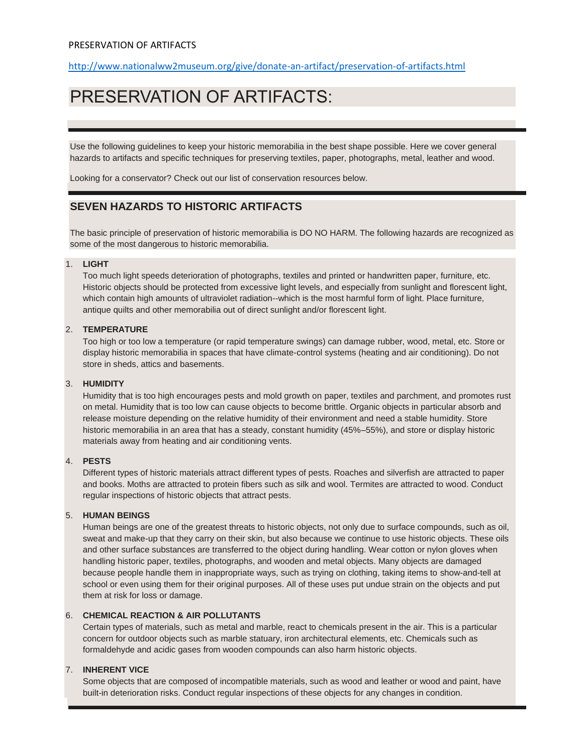<http://www.nationalww2museum.org/give/donate-an-artifact/preservation-of-artifacts.html>

# PRESERVATION OF ARTIFACTS:

Use the following guidelines to keep your historic memorabilia in the best shape possible. Here we cover general hazards to artifacts and specific techniques for preserving textiles, paper, photographs, metal, leather and wood.

Looking for a conservator? Check out our list of conservation resources below.

## **SEVEN HAZARDS TO HISTORIC ARTIFACTS**

The basic principle of preservation of historic memorabilia is DO NO HARM. The following hazards are recognized as some of the most dangerous to historic memorabilia.

#### 1. **LIGHT**

Too much light speeds deterioration of photographs, textiles and printed or handwritten paper, furniture, etc. Historic objects should be protected from excessive light levels, and especially from sunlight and florescent light, which contain high amounts of ultraviolet radiation--which is the most harmful form of light. Place furniture, antique quilts and other memorabilia out of direct sunlight and/or florescent light.

#### 2. **TEMPERATURE**

Too high or too low a temperature (or rapid temperature swings) can damage rubber, wood, metal, etc. Store or display historic memorabilia in spaces that have climate-control systems (heating and air conditioning). Do not store in sheds, attics and basements.

#### 3. **HUMIDITY**

Humidity that is too high encourages pests and mold growth on paper, textiles and parchment, and promotes rust on metal. Humidity that is too low can cause objects to become brittle. Organic objects in particular absorb and release moisture depending on the relative humidity of their environment and need a stable humidity. Store historic memorabilia in an area that has a steady, constant humidity (45%–55%), and store or display historic materials away from heating and air conditioning vents.

#### 4. **PESTS**

Different types of historic materials attract different types of pests. Roaches and silverfish are attracted to paper and books. Moths are attracted to protein fibers such as silk and wool. Termites are attracted to wood. Conduct regular inspections of historic objects that attract pests.

#### 5. **HUMAN BEINGS**

Human beings are one of the greatest threats to historic objects, not only due to surface compounds, such as oil, sweat and make-up that they carry on their skin, but also because we continue to use historic objects. These oils and other surface substances are transferred to the object during handling. Wear cotton or nylon gloves when handling historic paper, textiles, photographs, and wooden and metal objects. Many objects are damaged because people handle them in inappropriate ways, such as trying on clothing, taking items to show-and-tell at school or even using them for their original purposes. All of these uses put undue strain on the objects and put them at risk for loss or damage.

#### 6. **CHEMICAL REACTION & AIR POLLUTANTS**

Certain types of materials, such as metal and marble, react to chemicals present in the air. This is a particular concern for outdoor objects such as marble statuary, iron architectural elements, etc. Chemicals such as formaldehyde and acidic gases from wooden compounds can also harm historic objects.

#### 7. **INHERENT VICE**

Some objects that are composed of incompatible materials, such as wood and leather or wood and paint, have built-in deterioration risks. Conduct regular inspections of these objects for any changes in condition.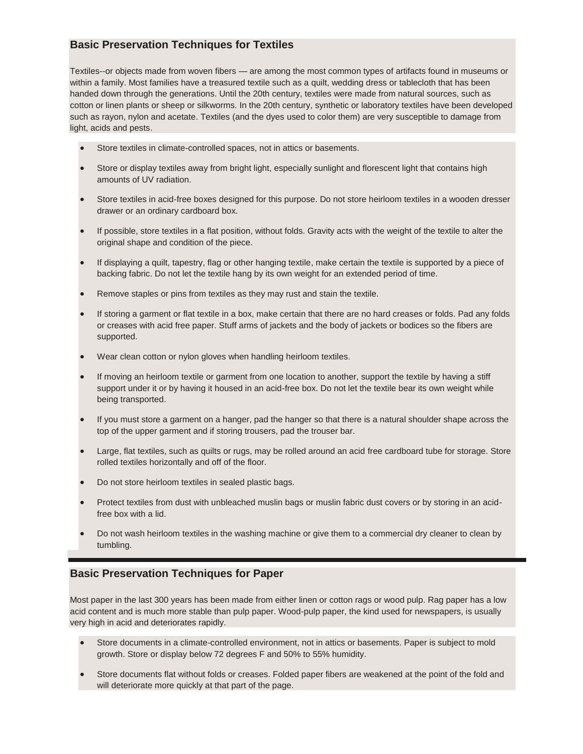## **Basic Preservation Techniques for Textiles**

Textiles--or objects made from woven fibers — are among the most common types of artifacts found in museums or within a family. Most families have a treasured textile such as a quilt, wedding dress or tablecloth that has been handed down through the generations. Until the 20th century, textiles were made from natural sources, such as cotton or linen plants or sheep or silkworms. In the 20th century, synthetic or laboratory textiles have been developed such as rayon, nylon and acetate. Textiles (and the dyes used to color them) are very susceptible to damage from light, acids and pests.

- Store textiles in climate-controlled spaces, not in attics or basements.
- Store or display textiles away from bright light, especially sunlight and florescent light that contains high amounts of UV radiation.
- Store textiles in acid-free boxes designed for this purpose. Do not store heirloom textiles in a wooden dresser drawer or an ordinary cardboard box.
- If possible, store textiles in a flat position, without folds. Gravity acts with the weight of the textile to alter the original shape and condition of the piece.
- If displaying a quilt, tapestry, flag or other hanging textile, make certain the textile is supported by a piece of backing fabric. Do not let the textile hang by its own weight for an extended period of time.
- Remove staples or pins from textiles as they may rust and stain the textile.
- If storing a garment or flat textile in a box, make certain that there are no hard creases or folds. Pad any folds or creases with acid free paper. Stuff arms of jackets and the body of jackets or bodices so the fibers are supported.
- Wear clean cotton or nylon gloves when handling heirloom textiles.
- If moving an heirloom textile or garment from one location to another, support the textile by having a stiff support under it or by having it housed in an acid-free box. Do not let the textile bear its own weight while being transported.
- If you must store a garment on a hanger, pad the hanger so that there is a natural shoulder shape across the top of the upper garment and if storing trousers, pad the trouser bar.
- Large, flat textiles, such as quilts or rugs, may be rolled around an acid free cardboard tube for storage. Store rolled textiles horizontally and off of the floor.
- Do not store heirloom textiles in sealed plastic bags.
- Protect textiles from dust with unbleached muslin bags or muslin fabric dust covers or by storing in an acidfree box with a lid.
- Do not wash heirloom textiles in the washing machine or give them to a commercial dry cleaner to clean by tumbling.

## **Basic Preservation Techniques for Paper**

Most paper in the last 300 years has been made from either linen or cotton rags or wood pulp. Rag paper has a low acid content and is much more stable than pulp paper. Wood-pulp paper, the kind used for newspapers, is usually very high in acid and deteriorates rapidly.

- Store documents in a climate-controlled environment, not in attics or basements. Paper is subject to mold growth. Store or display below 72 degrees F and 50% to 55% humidity.
- Store documents flat without folds or creases. Folded paper fibers are weakened at the point of the fold and will deteriorate more quickly at that part of the page.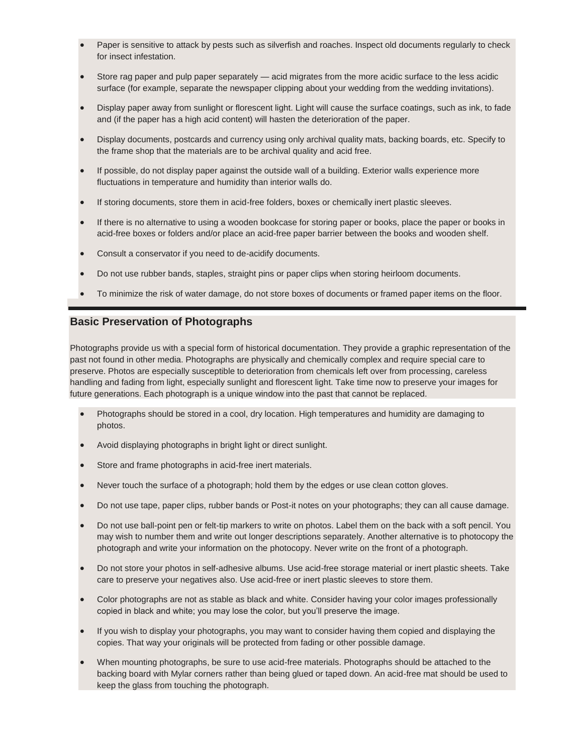- Paper is sensitive to attack by pests such as silverfish and roaches. Inspect old documents regularly to check for insect infestation.
- Store rag paper and pulp paper separately acid migrates from the more acidic surface to the less acidic surface (for example, separate the newspaper clipping about your wedding from the wedding invitations).
- Display paper away from sunlight or florescent light. Light will cause the surface coatings, such as ink, to fade and (if the paper has a high acid content) will hasten the deterioration of the paper.
- Display documents, postcards and currency using only archival quality mats, backing boards, etc. Specify to the frame shop that the materials are to be archival quality and acid free.
- If possible, do not display paper against the outside wall of a building. Exterior walls experience more fluctuations in temperature and humidity than interior walls do.
- If storing documents, store them in acid-free folders, boxes or chemically inert plastic sleeves.
- If there is no alternative to using a wooden bookcase for storing paper or books, place the paper or books in acid-free boxes or folders and/or place an acid-free paper barrier between the books and wooden shelf.
- Consult a conservator if you need to de-acidify documents.
- Do not use rubber bands, staples, straight pins or paper clips when storing heirloom documents.
- To minimize the risk of water damage, do not store boxes of documents or framed paper items on the floor.

#### **Basic Preservation of Photographs**

Photographs provide us with a special form of historical documentation. They provide a graphic representation of the past not found in other media. Photographs are physically and chemically complex and require special care to preserve. Photos are especially susceptible to deterioration from chemicals left over from processing, careless handling and fading from light, especially sunlight and florescent light. Take time now to preserve your images for future generations. Each photograph is a unique window into the past that cannot be replaced.

- Photographs should be stored in a cool, dry location. High temperatures and humidity are damaging to photos.
- Avoid displaying photographs in bright light or direct sunlight.
- Store and frame photographs in acid-free inert materials.
- Never touch the surface of a photograph; hold them by the edges or use clean cotton gloves.
- Do not use tape, paper clips, rubber bands or Post-it notes on your photographs; they can all cause damage.
- Do not use ball-point pen or felt-tip markers to write on photos. Label them on the back with a soft pencil. You may wish to number them and write out longer descriptions separately. Another alternative is to photocopy the photograph and write your information on the photocopy. Never write on the front of a photograph.
- Do not store your photos in self-adhesive albums. Use acid-free storage material or inert plastic sheets. Take care to preserve your negatives also. Use acid-free or inert plastic sleeves to store them.
- Color photographs are not as stable as black and white. Consider having your color images professionally copied in black and white; you may lose the color, but you'll preserve the image.
- If you wish to display your photographs, you may want to consider having them copied and displaying the copies. That way your originals will be protected from fading or other possible damage.
- When mounting photographs, be sure to use acid-free materials. Photographs should be attached to the backing board with Mylar corners rather than being glued or taped down. An acid-free mat should be used to keep the glass from touching the photograph.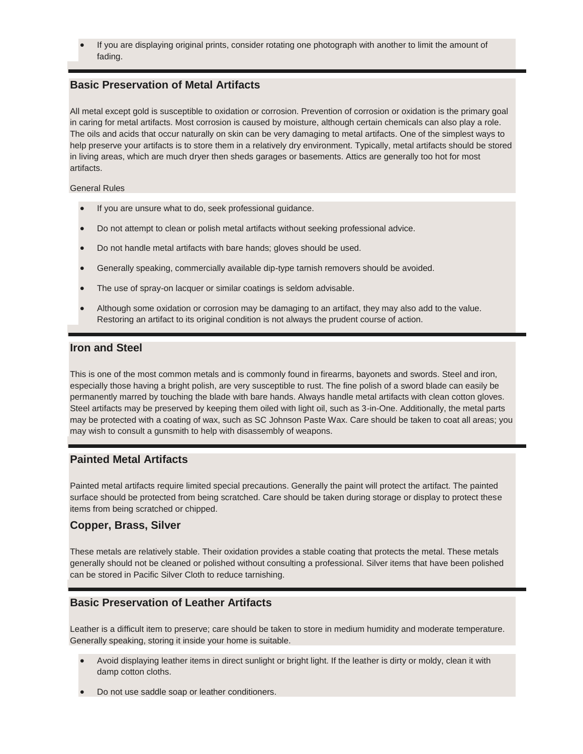If you are displaying original prints, consider rotating one photograph with another to limit the amount of fading.

## **Basic Preservation of Metal Artifacts**

All metal except gold is susceptible to oxidation or corrosion. Prevention of corrosion or oxidation is the primary goal in caring for metal artifacts. Most corrosion is caused by moisture, although certain chemicals can also play a role. The oils and acids that occur naturally on skin can be very damaging to metal artifacts. One of the simplest ways to help preserve your artifacts is to store them in a relatively dry environment. Typically, metal artifacts should be stored in living areas, which are much dryer then sheds garages or basements. Attics are generally too hot for most artifacts.

General Rules

- If you are unsure what to do, seek professional guidance.
- Do not attempt to clean or polish metal artifacts without seeking professional advice.
- Do not handle metal artifacts with bare hands; gloves should be used.
- Generally speaking, commercially available dip-type tarnish removers should be avoided.
- The use of spray-on lacquer or similar coatings is seldom advisable.
- Although some oxidation or corrosion may be damaging to an artifact, they may also add to the value. Restoring an artifact to its original condition is not always the prudent course of action.

#### **Iron and Steel**

This is one of the most common metals and is commonly found in firearms, bayonets and swords. Steel and iron, especially those having a bright polish, are very susceptible to rust. The fine polish of a sword blade can easily be permanently marred by touching the blade with bare hands. Always handle metal artifacts with clean cotton gloves. Steel artifacts may be preserved by keeping them oiled with light oil, such as 3-in-One. Additionally, the metal parts may be protected with a coating of wax, such as SC Johnson Paste Wax. Care should be taken to coat all areas; you may wish to consult a gunsmith to help with disassembly of weapons.

#### **Painted Metal Artifacts**

Painted metal artifacts require limited special precautions. Generally the paint will protect the artifact. The painted surface should be protected from being scratched. Care should be taken during storage or display to protect these items from being scratched or chipped.

### **Copper, Brass, Silver**

These metals are relatively stable. Their oxidation provides a stable coating that protects the metal. These metals generally should not be cleaned or polished without consulting a professional. Silver items that have been polished can be stored in Pacific Silver Cloth to reduce tarnishing.

### **Basic Preservation of Leather Artifacts**

Leather is a difficult item to preserve; care should be taken to store in medium humidity and moderate temperature. Generally speaking, storing it inside your home is suitable.

- Avoid displaying leather items in direct sunlight or bright light. If the leather is dirty or moldy, clean it with damp cotton cloths.
- Do not use saddle soap or leather conditioners.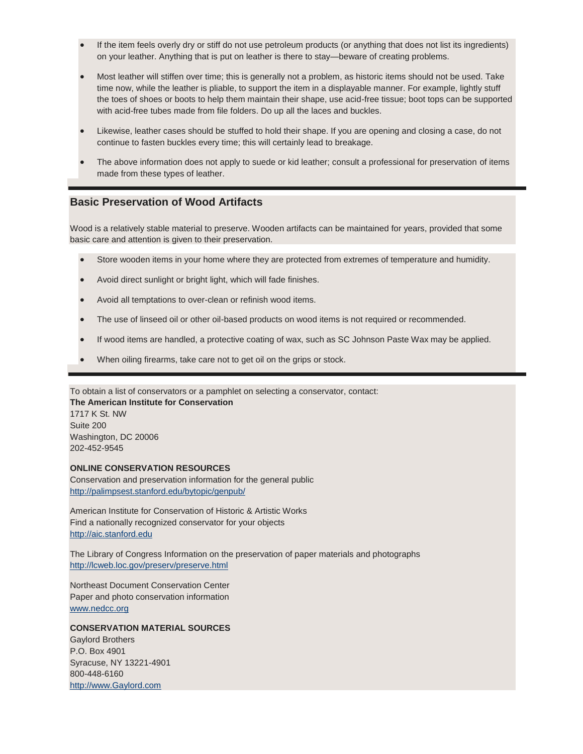- If the item feels overly dry or stiff do not use petroleum products (or anything that does not list its ingredients) on your leather. Anything that is put on leather is there to stay—beware of creating problems.
- Most leather will stiffen over time; this is generally not a problem, as historic items should not be used. Take time now, while the leather is pliable, to support the item in a displayable manner. For example, lightly stuff the toes of shoes or boots to help them maintain their shape, use acid-free tissue; boot tops can be supported with acid-free tubes made from file folders. Do up all the laces and buckles.
- Likewise, leather cases should be stuffed to hold their shape. If you are opening and closing a case, do not continue to fasten buckles every time; this will certainly lead to breakage.
- The above information does not apply to suede or kid leather; consult a professional for preservation of items made from these types of leather.

#### **Basic Preservation of Wood Artifacts**

Wood is a relatively stable material to preserve. Wooden artifacts can be maintained for years, provided that some basic care and attention is given to their preservation.

- Store wooden items in your home where they are protected from extremes of temperature and humidity.
- Avoid direct sunlight or bright light, which will fade finishes.
- Avoid all temptations to over-clean or refinish wood items.
- The use of linseed oil or other oil-based products on wood items is not required or recommended.
- If wood items are handled, a protective coating of wax, such as SC Johnson Paste Wax may be applied.
- When oiling firearms, take care not to get oil on the grips or stock.

To obtain a list of conservators or a pamphlet on selecting a conservator, contact:

**The American Institute for Conservation** 1717 K St. NW Suite 200 Washington, DC 20006 202-452-9545

#### **ONLINE CONSERVATION RESOURCES**

Conservation and preservation information for the general public <http://palimpsest.stanford.edu/bytopic/genpub/>

American Institute for Conservation of Historic & Artistic Works Find a nationally recognized conservator for your objects [http://aic.stanford.edu](http://aic.stanford.edu/)

The Library of Congress Information on the preservation of paper materials and photographs <http://lcweb.loc.gov/preserv/preserve.html>

Northeast Document Conservation Center Paper and photo conservation information [www.nedcc.org](http://www.nedcc.org/)

#### **CONSERVATION MATERIAL SOURCES**

Gaylord Brothers P.O. Box 4901 Syracuse, NY 13221-4901 800-448-6160 [http://www.Gaylord.com](http://www.gaylord.com/)